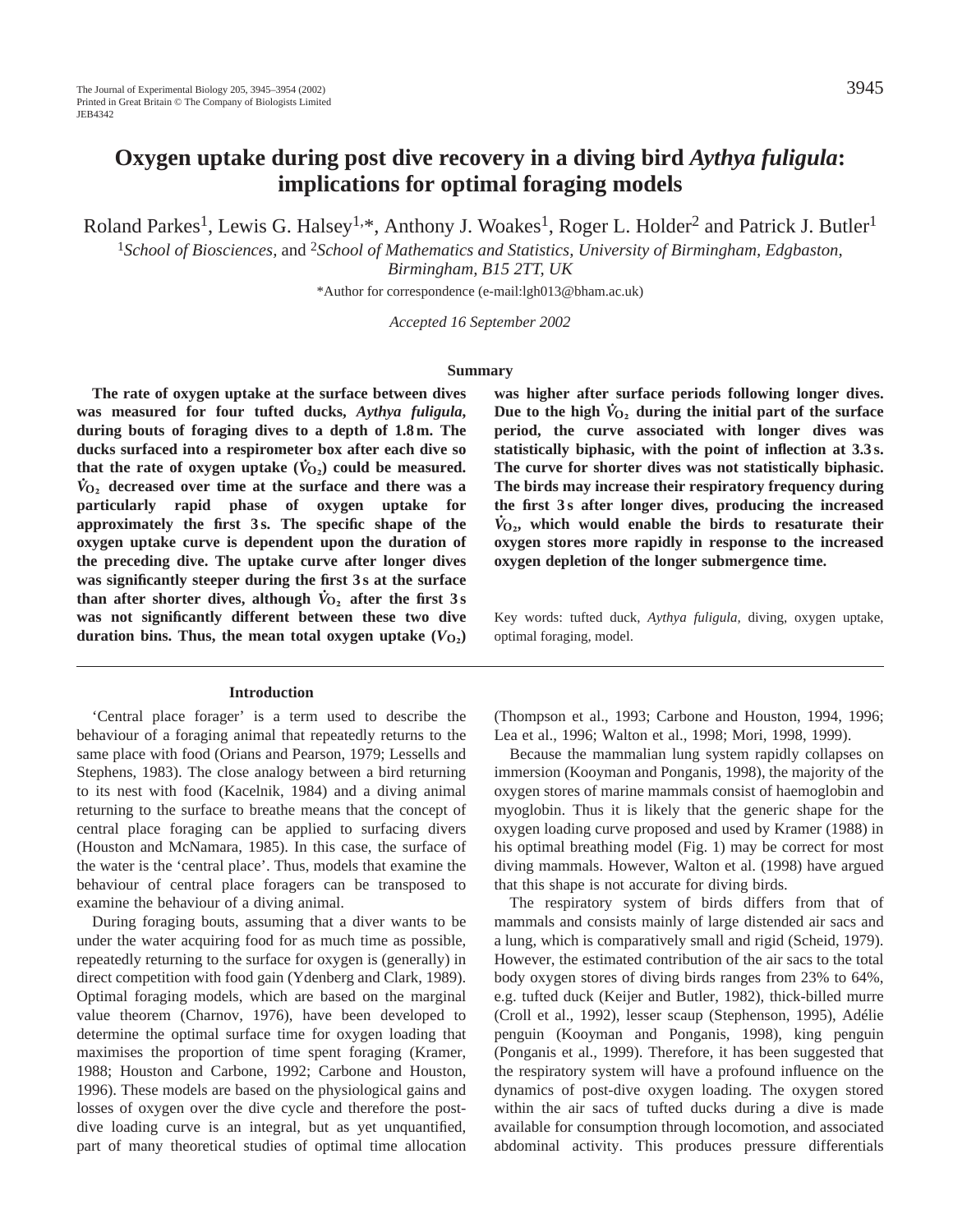Roland Parkes<sup>1</sup>, Lewis G. Halsey<sup>1,\*</sup>, Anthony J. Woakes<sup>1</sup>, Roger L. Holder<sup>2</sup> and Patrick J. Butler<sup>1</sup>

<sup>1</sup>*School of Biosciences,* and 2*School of Mathematics and Statistics, University of Birmingham, Edgbaston, Birmingham, B15 2TT, UK*

\*Author for correspondence (e-mail:lgh013@bham.ac.uk)

*Accepted 16 September 2002* 

#### **Summary**

**The rate of oxygen uptake at the surface between dives was measured for four tufted ducks,** *Aythya fuligula***, during bouts of foraging dives to a depth of 1.8 m. The ducks surfaced into a respirometer box after each dive so . that the rate of oxygen uptake**  $(\dot{V}_{0_2})$  **could be measured.** *V* **<sup>O</sup>∑ decreased over time at the surface and there was a particularly rapid phase of oxygen uptake for approximately the first 3 s. The specific shape of the oxygen uptake curve is dependent upon the duration of the preceding dive. The uptake curve after longer dives was significantly steeper during the first 3 s at the surface . than after shorter dives, although**  $\dot{V}_{O_2}$  **after the first 3 s was not significantly different between these two dive duration bins. Thus, the mean total oxygen uptake**  $(V<sub>O</sub>)$ 

#### **Introduction**

'Central place forager' is a term used to describe the behaviour of a foraging animal that repeatedly returns to the same place with food (Orians and Pearson, 1979; Lessells and Stephens, 1983). The close analogy between a bird returning to its nest with food (Kacelnik, 1984) and a diving animal returning to the surface to breathe means that the concept of central place foraging can be applied to surfacing divers (Houston and McNamara, 1985). In this case, the surface of the water is the 'central place'. Thus, models that examine the behaviour of central place foragers can be transposed to examine the behaviour of a diving animal.

During foraging bouts, assuming that a diver wants to be under the water acquiring food for as much time as possible, repeatedly returning to the surface for oxygen is (generally) in direct competition with food gain (Ydenberg and Clark, 1989). Optimal foraging models, which are based on the marginal value theorem (Charnov, 1976), have been developed to determine the optimal surface time for oxygen loading that maximises the proportion of time spent foraging (Kramer, 1988; Houston and Carbone, 1992; Carbone and Houston, 1996). These models are based on the physiological gains and losses of oxygen over the dive cycle and therefore the postdive loading curve is an integral, but as yet unquantified, part of many theoretical studies of optimal time allocation

**was higher after surface periods following longer dives. .** Due to the high  $\dot{V}_{O_2}$  during the initial part of the surface **period, the curve associated with longer dives was statistically biphasic, with the point of inflection at 3.3 s. The curve for shorter dives was not statistically biphasic. The birds may increase their respiratory frequency during the first 3 s after longer dives, producing the increased .**  $\dot{V}_{O_2}$ , which would enable the birds to resaturate their **oxygen stores more rapidly in response to the increased oxygen depletion of the longer submergence time.**

Key words: tufted duck, *Aythya fuligula,* diving, oxygen uptake, optimal foraging, model.

(Thompson et al., 1993; Carbone and Houston, 1994, 1996; Lea et al., 1996; Walton et al., 1998; Mori, 1998, 1999).

Because the mammalian lung system rapidly collapses on immersion (Kooyman and Ponganis, 1998), the majority of the oxygen stores of marine mammals consist of haemoglobin and myoglobin. Thus it is likely that the generic shape for the oxygen loading curve proposed and used by Kramer (1988) in his optimal breathing model (Fig. 1) may be correct for most diving mammals. However, Walton et al. (1998) have argued that this shape is not accurate for diving birds.

The respiratory system of birds differs from that of mammals and consists mainly of large distended air sacs and a lung, which is comparatively small and rigid (Scheid, 1979). However, the estimated contribution of the air sacs to the total body oxygen stores of diving birds ranges from 23% to 64%, e.g. tufted duck (Keijer and Butler, 1982), thick-billed murre (Croll et al., 1992), lesser scaup (Stephenson, 1995), Adélie penguin (Kooyman and Ponganis, 1998), king penguin (Ponganis et al., 1999). Therefore, it has been suggested that the respiratory system will have a profound influence on the dynamics of post-dive oxygen loading. The oxygen stored within the air sacs of tufted ducks during a dive is made available for consumption through locomotion, and associated abdominal activity. This produces pressure differentials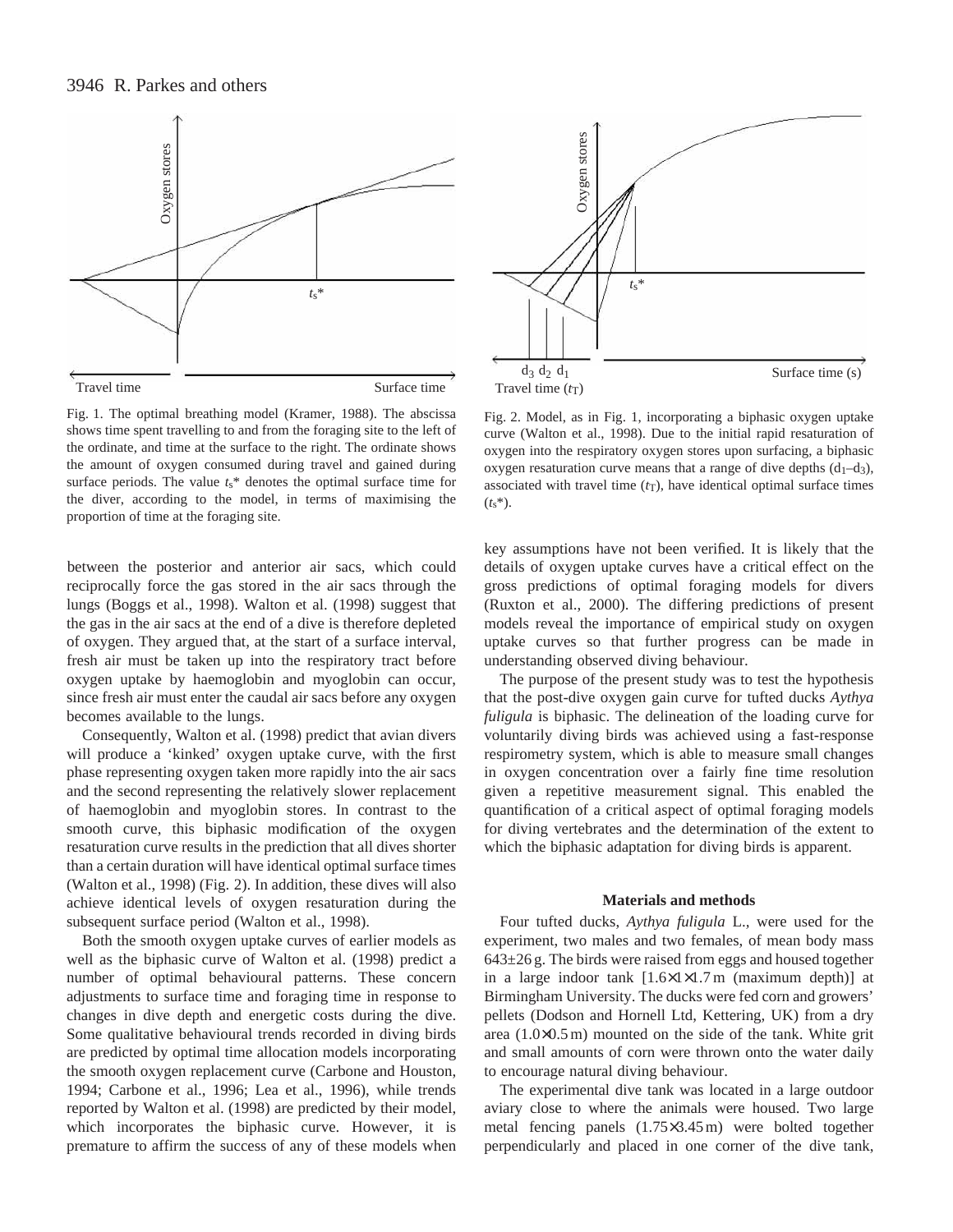

Fig. 1. The optimal breathing model (Kramer, 1988). The abscissa shows time spent travelling to and from the foraging site to the left of the ordinate, and time at the surface to the right. The ordinate shows the amount of oxygen consumed during travel and gained during surface periods. The value *t*s\* denotes the optimal surface time for the diver, according to the model, in terms of maximising the proportion of time at the foraging site.

between the posterior and anterior air sacs, which could reciprocally force the gas stored in the air sacs through the lungs (Boggs et al., 1998). Walton et al. (1998) suggest that the gas in the air sacs at the end of a dive is therefore depleted of oxygen. They argued that, at the start of a surface interval, fresh air must be taken up into the respiratory tract before oxygen uptake by haemoglobin and myoglobin can occur, since fresh air must enter the caudal air sacs before any oxygen becomes available to the lungs.

Consequently, Walton et al. (1998) predict that avian divers will produce a 'kinked' oxygen uptake curve, with the first phase representing oxygen taken more rapidly into the air sacs and the second representing the relatively slower replacement of haemoglobin and myoglobin stores. In contrast to the smooth curve, this biphasic modification of the oxygen resaturation curve results in the prediction that all dives shorter than a certain duration will have identical optimal surface times (Walton et al., 1998) (Fig. 2). In addition, these dives will also achieve identical levels of oxygen resaturation during the subsequent surface period (Walton et al., 1998).

Both the smooth oxygen uptake curves of earlier models as well as the biphasic curve of Walton et al. (1998) predict a number of optimal behavioural patterns. These concern adjustments to surface time and foraging time in response to changes in dive depth and energetic costs during the dive. Some qualitative behavioural trends recorded in diving birds are predicted by optimal time allocation models incorporating the smooth oxygen replacement curve (Carbone and Houston, 1994; Carbone et al., 1996; Lea et al., 1996), while trends reported by Walton et al. (1998) are predicted by their model, which incorporates the biphasic curve. However, it is premature to affirm the success of any of these models when



Fig. 2. Model, as in Fig. 1, incorporating a biphasic oxygen uptake curve (Walton et al., 1998). Due to the initial rapid resaturation of oxygen into the respiratory oxygen stores upon surfacing, a biphasic oxygen resaturation curve means that a range of dive depths  $(d_1-d_3)$ , associated with travel time  $(r<sub>T</sub>)$ , have identical optimal surface times (*t*s\*).

key assumptions have not been verified. It is likely that the details of oxygen uptake curves have a critical effect on the gross predictions of optimal foraging models for divers (Ruxton et al., 2000). The differing predictions of present models reveal the importance of empirical study on oxygen uptake curves so that further progress can be made in understanding observed diving behaviour.

The purpose of the present study was to test the hypothesis that the post-dive oxygen gain curve for tufted ducks *Aythya fuligula* is biphasic. The delineation of the loading curve for voluntarily diving birds was achieved using a fast-response respirometry system, which is able to measure small changes in oxygen concentration over a fairly fine time resolution given a repetitive measurement signal. This enabled the quantification of a critical aspect of optimal foraging models for diving vertebrates and the determination of the extent to which the biphasic adaptation for diving birds is apparent.

#### **Materials and methods**

Four tufted ducks, *Aythya fuligula* L.*,* were used for the experiment, two males and two females, of mean body mass  $643\pm26$  g. The birds were raised from eggs and housed together in a large indoor tank [1.6×1×1.7 m (maximum depth)] at Birmingham University. The ducks were fed corn and growers' pellets (Dodson and Hornell Ltd, Kettering, UK) from a dry area (1.0×0.5 m) mounted on the side of the tank. White grit and small amounts of corn were thrown onto the water daily to encourage natural diving behaviour.

The experimental dive tank was located in a large outdoor aviary close to where the animals were housed. Two large metal fencing panels (1.75×3.45 m) were bolted together perpendicularly and placed in one corner of the dive tank,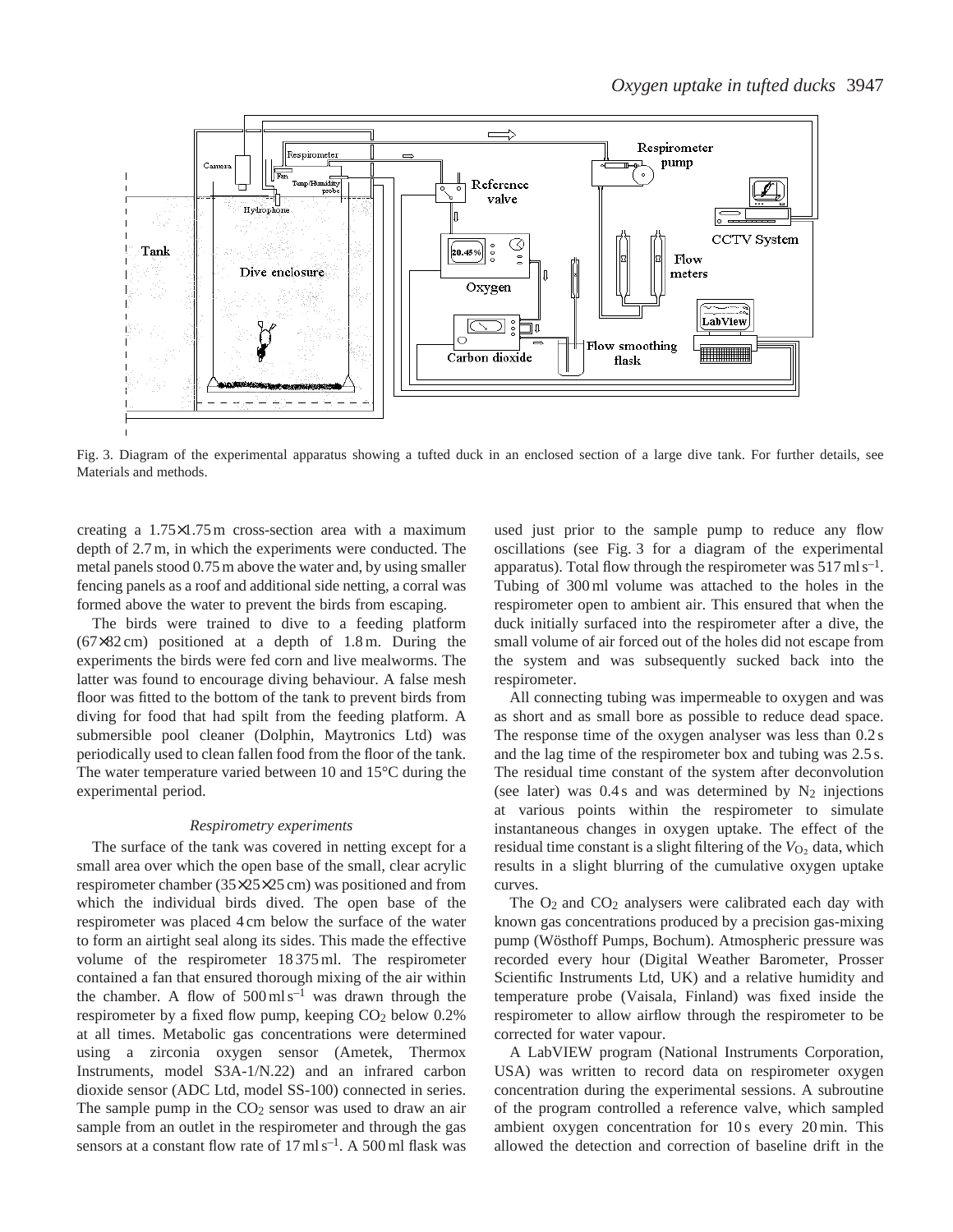

Fig. 3. Diagram of the experimental apparatus showing a tufted duck in an enclosed section of a large dive tank. For further details, see Materials and methods.

creating a 1.75×1.75 m cross-section area with a maximum depth of 2.7 m, in which the experiments were conducted. The metal panels stood 0.75 m above the water and, by using smaller fencing panels as a roof and additional side netting, a corral was formed above the water to prevent the birds from escaping.

The birds were trained to dive to a feeding platform (67×82 cm) positioned at a depth of 1.8 m. During the experiments the birds were fed corn and live mealworms. The latter was found to encourage diving behaviour. A false mesh floor was fitted to the bottom of the tank to prevent birds from diving for food that had spilt from the feeding platform. A submersible pool cleaner (Dolphin, Maytronics Ltd) was periodically used to clean fallen food from the floor of the tank. The water temperature varied between 10 and 15°C during the experimental period.

#### *Respirometry experiments*

The surface of the tank was covered in netting except for a small area over which the open base of the small, clear acrylic respirometer chamber (35×25×25 cm) was positioned and from which the individual birds dived. The open base of the respirometer was placed 4 cm below the surface of the water to form an airtight seal along its sides. This made the effective volume of the respirometer 18 375 ml. The respirometer contained a fan that ensured thorough mixing of the air within the chamber. A flow of  $500 \text{ ml s}^{-1}$  was drawn through the respirometer by a fixed flow pump, keeping  $CO<sub>2</sub>$  below 0.2% at all times. Metabolic gas concentrations were determined using a zirconia oxygen sensor (Ametek, Thermox Instruments, model S3A-1/N.22) and an infrared carbon dioxide sensor (ADC Ltd, model SS-100) connected in series. The sample pump in the  $CO<sub>2</sub>$  sensor was used to draw an air sample from an outlet in the respirometer and through the gas sensors at a constant flow rate of  $17 \text{ ml s}^{-1}$ . A 500 ml flask was

used just prior to the sample pump to reduce any flow oscillations (see Fig. 3 for a diagram of the experimental apparatus). Total flow through the respirometer was  $517 \text{ ml s}^{-1}$ . Tubing of 300 ml volume was attached to the holes in the respirometer open to ambient air. This ensured that when the duck initially surfaced into the respirometer after a dive, the small volume of air forced out of the holes did not escape from the system and was subsequently sucked back into the respirometer.

All connecting tubing was impermeable to oxygen and was as short and as small bore as possible to reduce dead space. The response time of the oxygen analyser was less than 0.2 s and the lag time of the respirometer box and tubing was 2.5 s. The residual time constant of the system after deconvolution (see later) was  $0.4 s$  and was determined by  $N_2$  injections at various points within the respirometer to simulate instantaneous changes in oxygen uptake. The effect of the residual time constant is a slight filtering of the  $V_{\text{O}_2}$  data, which results in a slight blurring of the cumulative oxygen uptake curves.

The  $O_2$  and  $CO_2$  analysers were calibrated each day with known gas concentrations produced by a precision gas-mixing pump (Wösthoff Pumps, Bochum). Atmospheric pressure was recorded every hour (Digital Weather Barometer, Prosser Scientific Instruments Ltd, UK) and a relative humidity and temperature probe (Vaisala, Finland) was fixed inside the respirometer to allow airflow through the respirometer to be corrected for water vapour.

A LabVIEW program (National Instruments Corporation, USA) was written to record data on respirometer oxygen concentration during the experimental sessions. A subroutine of the program controlled a reference valve, which sampled ambient oxygen concentration for 10 s every 20 min. This allowed the detection and correction of baseline drift in the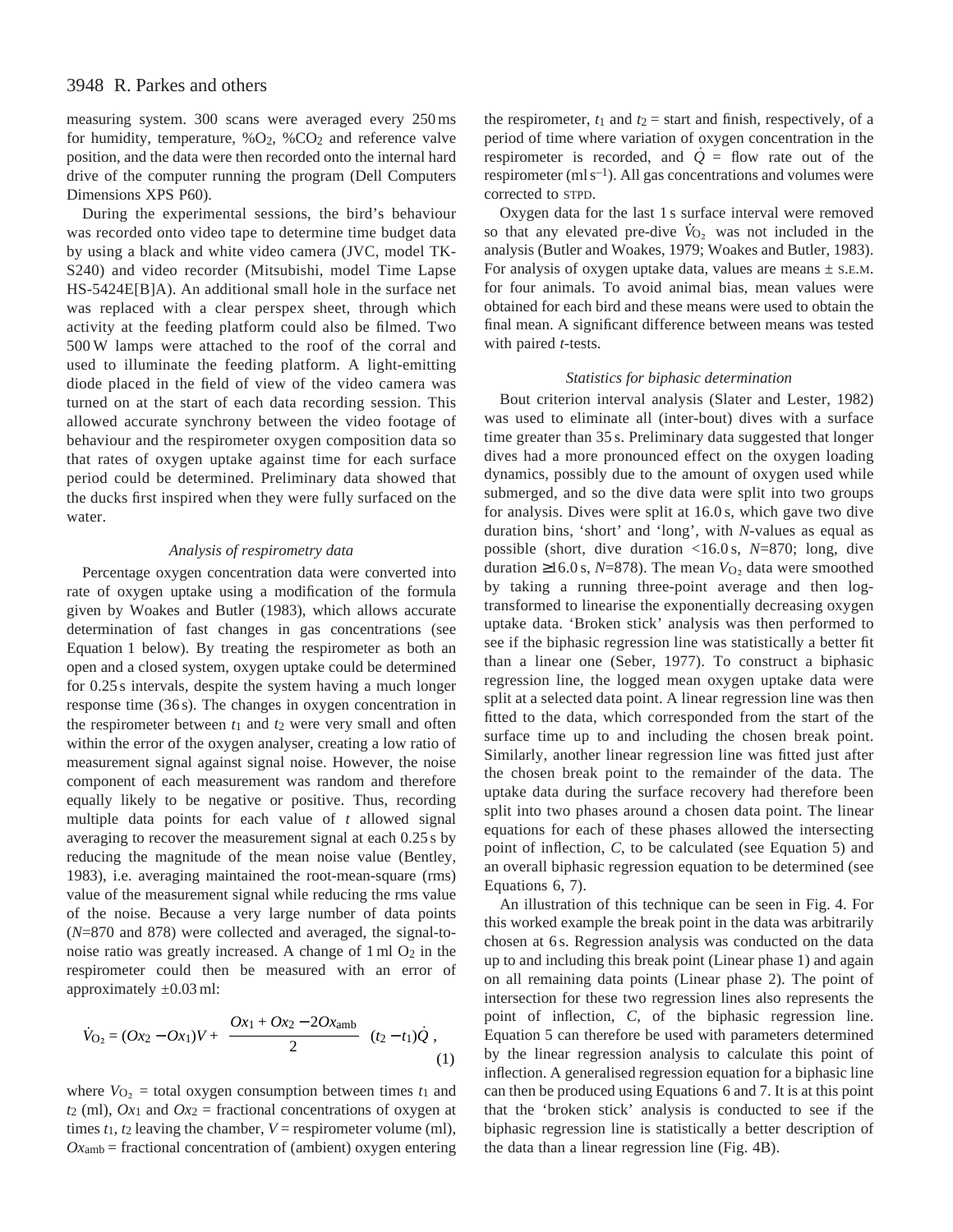# 3948 R. Parkes and others

measuring system. 300 scans were averaged every 250 ms for humidity, temperature,  $\%O_2$ ,  $\%CO_2$  and reference valve position, and the data were then recorded onto the internal hard drive of the computer running the program (Dell Computers Dimensions XPS P60).

During the experimental sessions, the bird's behaviour was recorded onto video tape to determine time budget data by using a black and white video camera (JVC, model TK-S240) and video recorder (Mitsubishi, model Time Lapse HS-5424E[B]A). An additional small hole in the surface net was replaced with a clear perspex sheet, through which activity at the feeding platform could also be filmed. Two 500 W lamps were attached to the roof of the corral and used to illuminate the feeding platform. A light-emitting diode placed in the field of view of the video camera was turned on at the start of each data recording session. This allowed accurate synchrony between the video footage of behaviour and the respirometer oxygen composition data so that rates of oxygen uptake against time for each surface period could be determined. Preliminary data showed that the ducks first inspired when they were fully surfaced on the water.

### *Analysis of respirometry data*

Percentage oxygen concentration data were converted into rate of oxygen uptake using a modification of the formula given by Woakes and Butler (1983), which allows accurate determination of fast changes in gas concentrations (see Equation 1 below). By treating the respirometer as both an open and a closed system, oxygen uptake could be determined for 0.25 s intervals, despite the system having a much longer response time (36 s). The changes in oxygen concentration in the respirometer between  $t_1$  and  $t_2$  were very small and often within the error of the oxygen analyser, creating a low ratio of measurement signal against signal noise. However, the noise component of each measurement was random and therefore equally likely to be negative or positive. Thus, recording multiple data points for each value of *t* allowed signal averaging to recover the measurement signal at each 0.25 s by reducing the magnitude of the mean noise value (Bentley, 1983), i.e. averaging maintained the root-mean-square (rms) value of the measurement signal while reducing the rms value of the noise. Because a very large number of data points (*N*=870 and 878) were collected and averaged, the signal-tonoise ratio was greatly increased. A change of  $1 \text{ ml } O_2$  in the respirometer could then be measured with an error of approximately  $\pm 0.03$  ml:

$$
\dot{V}_{\text{O}_2} = (Ox_2 - Ox_1)V + \left(\frac{Ox_1 + Ox_2 - 2Ox_{\text{amb}}}{2}\right)(t_2 - t_1)\dot{Q},\tag{1}
$$

where  $V_{\text{O}_2}$  = total oxygen consumption between times  $t_1$  and  $t_2$  (ml),  $Ox_1$  and  $Ox_2$  = fractional concentrations of oxygen at times  $t_1$ ,  $t_2$  leaving the chamber,  $V =$  respirometer volume (ml),  $Ox<sub>amb</sub>$  = fractional concentration of (ambient) oxygen entering

the respirometer,  $t_1$  and  $t_2$  = start and finish, respectively, of a period of time where variation of oxygen concentration in the respirometer is recorded, and  $\dot{Q}$  = flow rate out of the respirometer ( $ml s^{-1}$ ). All gas concentrations and volumes were corrected to STPD.

Oxygen data for the last 1 s surface interval were removed Oxygen data for the fast 1's surface interval were removed<br>so that any elevated pre-dive  $\dot{V}_{O_2}$  was not included in the analysis (Butler and Woakes, 1979; Woakes and Butler, 1983). For analysis of oxygen uptake data, values are means  $\pm$  s.e.m. for four animals. To avoid animal bias, mean values were obtained for each bird and these means were used to obtain the final mean. A significant difference between means was tested with paired *t*-tests.

#### *Statistics for biphasic determination*

Bout criterion interval analysis (Slater and Lester, 1982) was used to eliminate all (inter-bout) dives with a surface time greater than 35 s. Preliminary data suggested that longer dives had a more pronounced effect on the oxygen loading dynamics, possibly due to the amount of oxygen used while submerged, and so the dive data were split into two groups for analysis. Dives were split at 16.0 s, which gave two dive duration bins, 'short' and 'long', with *N*-values as equal as possible (short, dive duration <16.0 s, *N*=870; long, dive duration ≥16.0 s,  $N=878$ ). The mean  $V_{\text{O}_2}$  data were smoothed by taking a running three-point average and then logtransformed to linearise the exponentially decreasing oxygen uptake data. 'Broken stick' analysis was then performed to see if the biphasic regression line was statistically a better fit than a linear one (Seber, 1977). To construct a biphasic regression line, the logged mean oxygen uptake data were split at a selected data point. A linear regression line was then fitted to the data, which corresponded from the start of the surface time up to and including the chosen break point. Similarly, another linear regression line was fitted just after the chosen break point to the remainder of the data. The uptake data during the surface recovery had therefore been split into two phases around a chosen data point. The linear equations for each of these phases allowed the intersecting point of inflection, *C*, to be calculated (see Equation 5) and an overall biphasic regression equation to be determined (see Equations 6, 7).

An illustration of this technique can be seen in Fig. 4. For this worked example the break point in the data was arbitrarily chosen at 6 s. Regression analysis was conducted on the data up to and including this break point (Linear phase 1) and again on all remaining data points (Linear phase 2). The point of intersection for these two regression lines also represents the point of inflection, *C*, of the biphasic regression line. Equation 5 can therefore be used with parameters determined by the linear regression analysis to calculate this point of inflection. A generalised regression equation for a biphasic line can then be produced using Equations 6 and 7. It is at this point that the 'broken stick' analysis is conducted to see if the biphasic regression line is statistically a better description of the data than a linear regression line (Fig. 4B).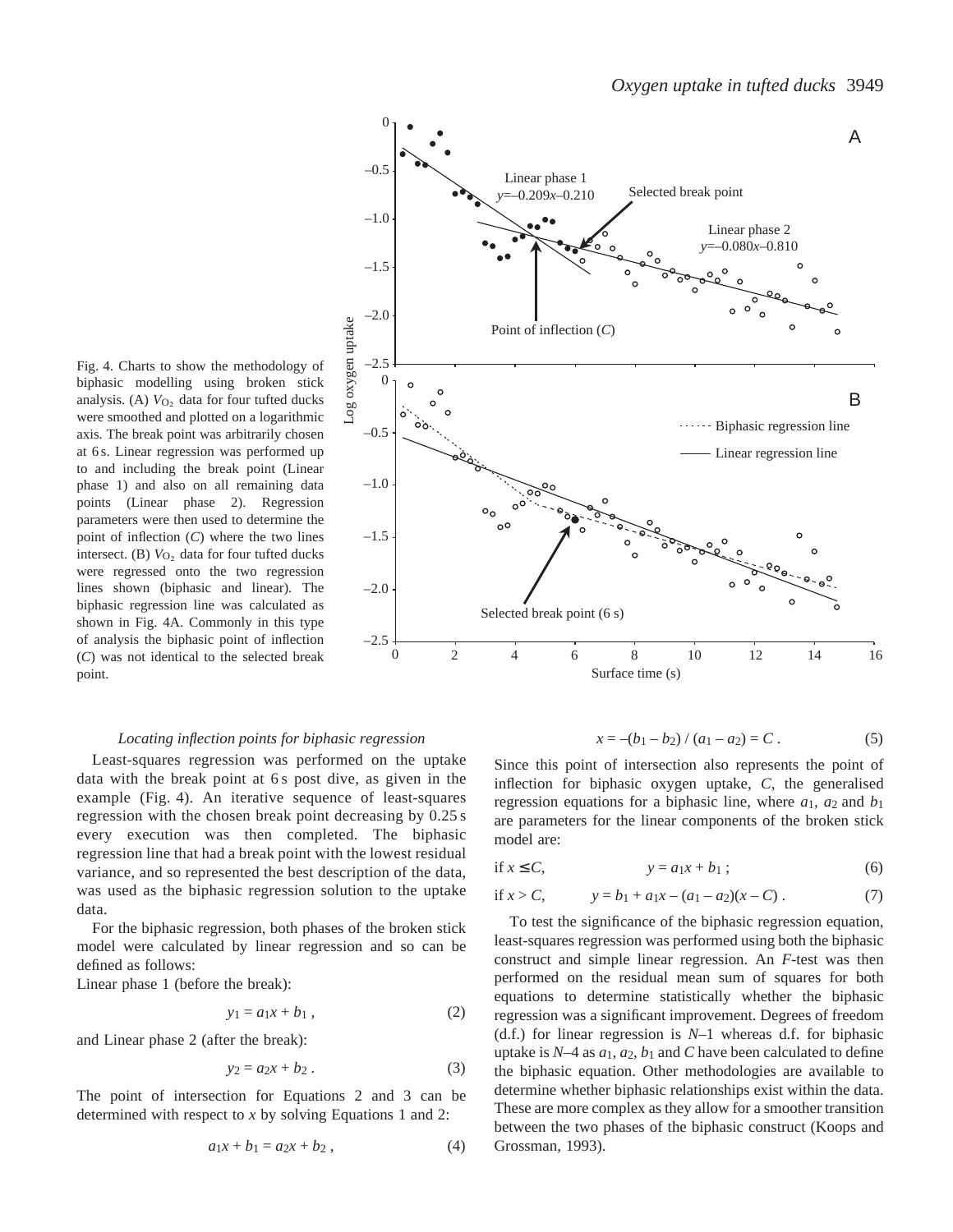Fig. 4. Charts to show the methodology of biphasic modelling using broken stick analysis. (A)  $V_{\text{O}_2}$  data for four tufted ducks were smoothed and plotted on a logarithmic axis. The break point was arbitrarily chosen at 6 s. Linear regression was performed up to and including the break point (Linear phase 1) and also on all remaining data points (Linear phase 2). Regression parameters were then used to determine the point of inflection (*C*) where the two lines intersect. (B)  $V<sub>O</sub>$ , data for four tufted ducks were regressed onto the two regression lines shown (biphasic and linear). The biphasic regression line was calculated as shown in Fig. 4A. Commonly in this type of analysis the biphasic point of inflection (*C*) was not identical to the selected break point.



### *Locating inflection points for biphasic regression*

Least-squares regression was performed on the uptake data with the break point at 6 s post dive, as given in the example (Fig. 4). An iterative sequence of least-squares regression with the chosen break point decreasing by 0.25 s every execution was then completed. The biphasic regression line that had a break point with the lowest residual variance, and so represented the best description of the data, was used as the biphasic regression solution to the uptake data.

For the biphasic regression, both phases of the broken stick model were calculated by linear regression and so can be defined as follows:

Linear phase 1 (before the break):

$$
y_1 = a_1 x + b_1 , \qquad (2)
$$

and Linear phase 2 (after the break):

$$
y_2 = a_2 x + b_2. \tag{3}
$$

The point of intersection for Equations 2 and 3 can be determined with respect to *x* by solving Equations 1 and 2:

$$
a_1x + b_1 = a_2x + b_2, \t\t(4)
$$

$$
x = -(b_1 - b_2) / (a_1 - a_2) = C.
$$
 (5)

Since this point of intersection also represents the point of inflection for biphasic oxygen uptake, *C*, the generalised regression equations for a biphasic line, where *a*1*, a*2 and *b*1 are parameters for the linear components of the broken stick model are:

$$
\text{if } x \le C, \qquad \qquad y = a_1 x + b_1 \tag{6}
$$

if 
$$
x > C
$$
,  $y = b_1 + a_1x - (a_1 - a_2)(x - C)$ . (7)

To test the significance of the biphasic regression equation, least-squares regression was performed using both the biphasic construct and simple linear regression. An *F*-test was then performed on the residual mean sum of squares for both equations to determine statistically whether the biphasic regression was a significant improvement. Degrees of freedom (d.f.) for linear regression is *N–*1 whereas d.f. for biphasic uptake is  $N-4$  as  $a_1$ ,  $a_2$ ,  $b_1$  and  $C$  have been calculated to define the biphasic equation. Other methodologies are available to determine whether biphasic relationships exist within the data. These are more complex as they allow for a smoother transition between the two phases of the biphasic construct (Koops and Grossman, 1993).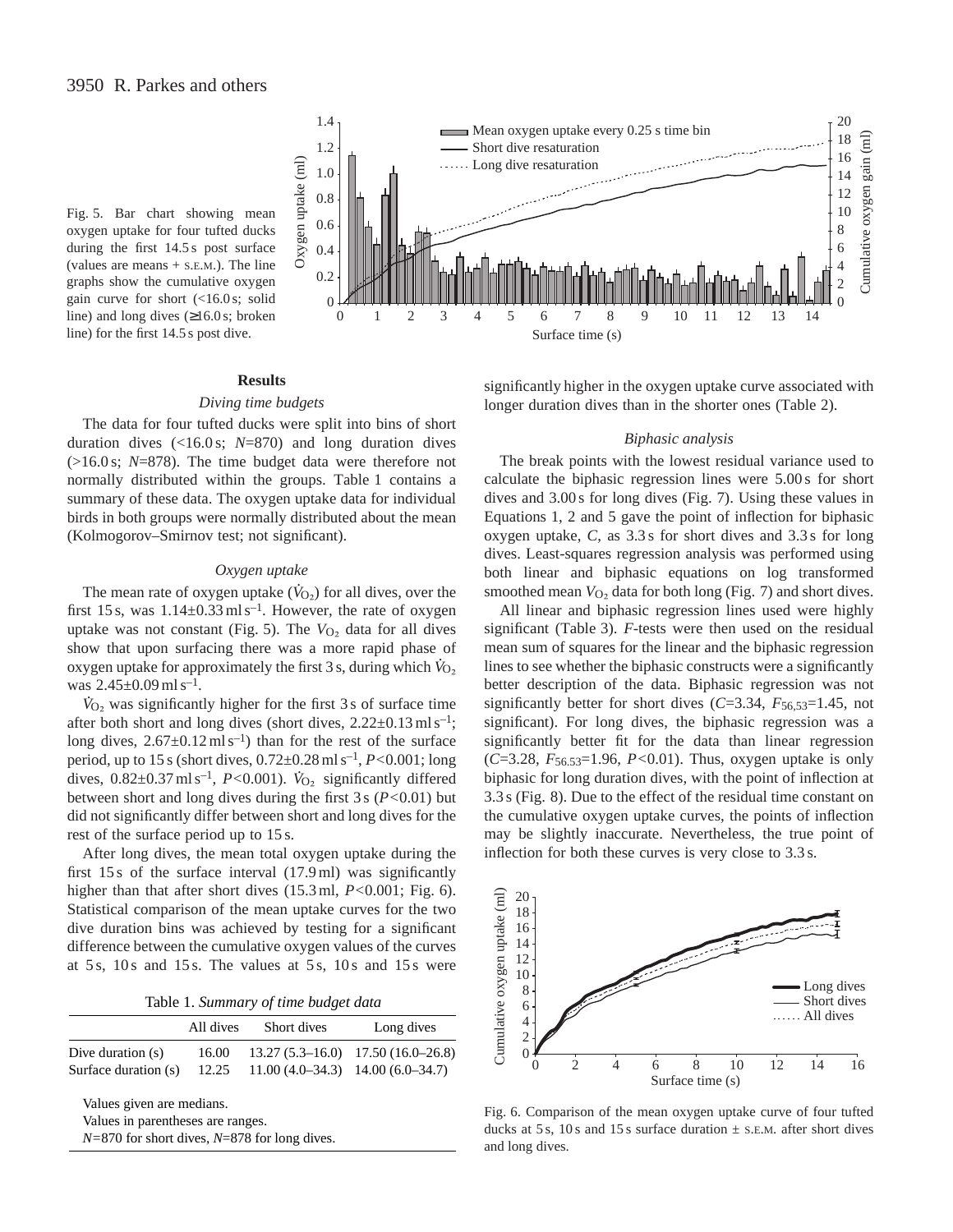line) for the first 14.5 s post dive.



**Results**

## *Diving time budgets*

The data for four tufted ducks were split into bins of short duration dives (<16.0 s; *N*=870) and long duration dives (>16.0 s; *N*=878). The time budget data were therefore not normally distributed within the groups. Table 1 contains a summary of these data. The oxygen uptake data for individual birds in both groups were normally distributed about the mean (Kolmogorov–Smirnov test; not significant).

#### *Oxygen uptake*

The mean rate of oxygen uptake  $(\dot{V}_{0_2})$  for all dives, over the first 15 s, was  $1.14 \pm 0.33 \,\mathrm{ml \, s^{-1}}$ . However, the rate of oxygen uptake was not constant (Fig. 5). The  $V_{O_2}$  data for all dives show that upon surfacing there was a more rapid phase of oxygen uptake for approximately the first 3 s, during which  $\dot{V}_{O_2}$ was  $2.45\pm0.09$  ml s<sup>-1</sup>.

 $\dot{V}_{O_2}$  was significantly higher for the first 3 s of surface time after both short and long dives (short dives,  $2.22 \pm 0.13 \text{ m/s}^{-1}$ ; long dives,  $2.67 \pm 0.12 \text{ m/s}^{-1}$  than for the rest of the surface period, up to 15 s (short dives, 0.72±0.28 ml s–1, *P<*0.001; long . dives,  $0.82 \pm 0.37$  ml s<sup>-1</sup>, *P*<0.001).  $\dot{V}_{O_2}$  significantly differed between short and long dives during the first 3 s (*P<*0.01) but did not significantly differ between short and long dives for the rest of the surface period up to 15 s.

After long dives, the mean total oxygen uptake during the first 15 s of the surface interval (17.9 ml) was significantly higher than that after short dives (15.3 ml, *P<*0.001; Fig. 6). Statistical comparison of the mean uptake curves for the two dive duration bins was achieved by testing for a significant difference between the cumulative oxygen values of the curves at  $5s$ ,  $10s$  and  $15s$ . The values at  $5s$ ,  $10s$  and  $15s$  were

|  |  | Table 1. Summary of time budget data |  |  |  |  |
|--|--|--------------------------------------|--|--|--|--|
|--|--|--------------------------------------|--|--|--|--|

|                           | All dives | Short dives                               | Long dives                          |
|---------------------------|-----------|-------------------------------------------|-------------------------------------|
| Dive duration $(s)$       | 16.00     |                                           | $13.27(5.3-16.0)$ 17.50 (16.0-26.8) |
| Surface duration (s)      |           | $12.25$ 11.00 (4.0–34.3) 14.00 (6.0–34.7) |                                     |
| Values given are medians. |           |                                           |                                     |

Values in parentheses are ranges.

*N=*870 for short dives, *N*=878 for long dives.

significantly higher in the oxygen uptake curve associated with longer duration dives than in the shorter ones (Table 2).

#### *Biphasic analysis*

The break points with the lowest residual variance used to calculate the biphasic regression lines were 5.00 s for short dives and 3.00 s for long dives (Fig. 7). Using these values in Equations 1, 2 and 5 gave the point of inflection for biphasic oxygen uptake, *C*, as 3.3 s for short dives and 3.3 s for long dives. Least-squares regression analysis was performed using both linear and biphasic equations on log transformed smoothed mean  $V_{O_2}$  data for both long (Fig. 7) and short dives.

All linear and biphasic regression lines used were highly significant (Table 3). *F*-tests were then used on the residual mean sum of squares for the linear and the biphasic regression lines to see whether the biphasic constructs were a significantly better description of the data. Biphasic regression was not significantly better for short dives (*C*=3.34, *F*56,53=1.45, not significant). For long dives, the biphasic regression was a significantly better fit for the data than linear regression (*C*=3.28, *F*56.53=1.96, *P<*0.01). Thus, oxygen uptake is only biphasic for long duration dives, with the point of inflection at 3.3 s (Fig. 8). Due to the effect of the residual time constant on the cumulative oxygen uptake curves, the points of inflection may be slightly inaccurate. Nevertheless, the true point of inflection for both these curves is very close to 3.3 s.



Fig. 6. Comparison of the mean oxygen uptake curve of four tufted ducks at 5 s, 10 s and 15 s surface duration  $\pm$  s.e.m. after short dives and long dives.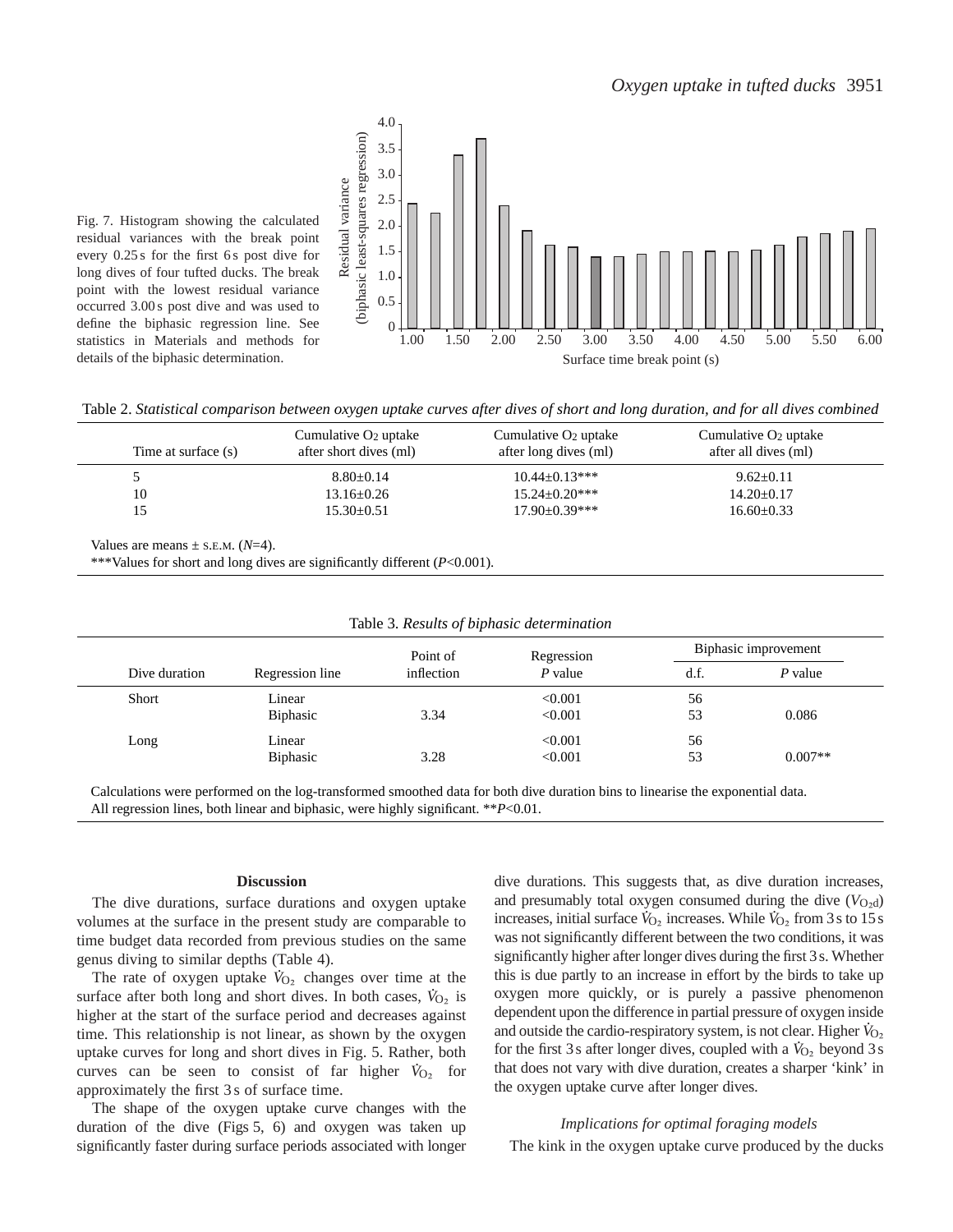

Fig. 7. Histogram showing the calculated residual variances with the break point every 0.25 s for the first 6 s post dive for long dives of four tufted ducks. The break point with the lowest residual variance occurred 3.00 s post dive and was used to define the biphasic regression line. See statistics in Materials and methods for details of the biphasic determination.

Table 2. *Statistical comparison between oxygen uptake curves after dives of short and long duration, and for all dives combined*

| Time at surface (s) | Cumulative $O_2$ uptake<br>after short dives (ml) | Cumulative $O_2$ uptake<br>after long dives (ml) | Cumulative $O_2$ uptake<br>after all dives (ml) |
|---------------------|---------------------------------------------------|--------------------------------------------------|-------------------------------------------------|
|                     | $8.80 \pm 0.14$                                   | $10.44 \pm 0.13***$                              | $9.62 \pm 0.11$                                 |
| 10                  | $13.16 \pm 0.26$                                  | $15.24 + 0.20***$                                | $14.20 \pm 0.17$                                |
| 15                  | $15.30 \pm 0.51$                                  | $17.90 + 0.39***$                                | $16.60 \pm 0.33$                                |

Values are means  $\pm$  s.e.m. ( $N=4$ ).

\*\*\*Values for short and long dives are significantly different (*P*<0.001).

| Table 3. Results of biphasic determination |                 |                        |           |                      |           |
|--------------------------------------------|-----------------|------------------------|-----------|----------------------|-----------|
|                                            |                 | Regression             |           | Biphasic improvement |           |
| Dive duration                              | Regression line | Point of<br>inflection | $P$ value | d.f.                 | $P$ value |
| Short                                      | Linear          |                        | < 0.001   | 56                   |           |
|                                            | <b>Biphasic</b> | 3.34                   | < 0.001   | 53                   | 0.086     |
| Long                                       | Linear          |                        | < 0.001   | 56                   |           |
|                                            | <b>Biphasic</b> | 3.28                   | < 0.001   | 53                   | $0.007**$ |

Calculations were performed on the log-transformed smoothed data for both dive duration bins to linearise the exponential data. All regression lines, both linear and biphasic, were highly significant. \*\**P*<0.01.

### **Discussion**

The dive durations, surface durations and oxygen uptake volumes at the surface in the present study are comparable to time budget data recorded from previous studies on the same genus diving to similar depths (Table 4). .

The rate of oxygen uptake  $\dot{V}_{\text{O}_2}$  changes over time at the surface after both long and short dives. In both cases,  $\dot{V}_{O_2}$  is higher at the start of the surface period and decreases against time. This relationship is not linear, as shown by the oxygen uptake curves for long and short dives in Fig. 5. Rather, both . curves can be seen to consist of far higher  $\dot{V}_{O_2}$  for approximately the first 3 s of surface time.

The shape of the oxygen uptake curve changes with the duration of the dive (Figs 5, 6) and oxygen was taken up significantly faster during surface periods associated with longer dive durations. This suggests that, as dive duration increases, and presumably total oxygen consumed during the dive  $(V_{O_2d})$ increases, initial surface  $\dot{V}_{\text{O}_2}$  increases. While  $\dot{V}_{\text{O}_2}$  from 3s to 15s was not significantly different between the two conditions, it was significantly higher after longer dives during the first 3s. Whether this is due partly to an increase in effort by the birds to take up oxygen more quickly, or is purely a passive phenomenon dependent upon the difference in partial pressure of oxygen inside . and outside the cardio-respiratory system, is not clear. Higher *V*<sub>O2</sub> for the first 3s after longer dives, coupled with a  $\dot{V}_{O_2}$  beyond 3s that does not vary with dive duration, creates a sharper 'kink' in the oxygen uptake curve after longer dives.

# *Implications for optimal foraging models* The kink in the oxygen uptake curve produced by the ducks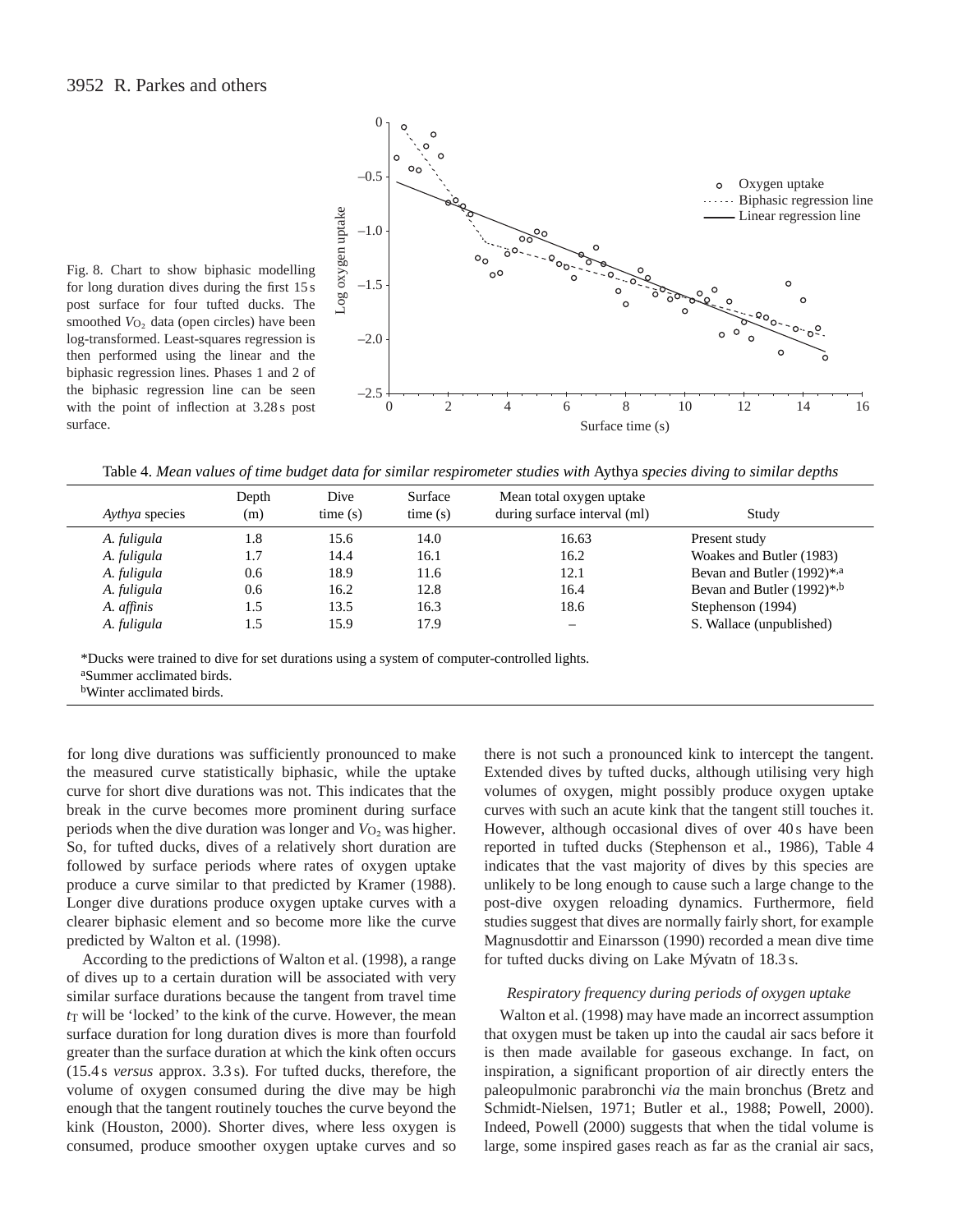

Fig. 8. Chart to show biphasic modelling for long duration dives during the first 15 s post surface for four tufted ducks. The smoothed  $V_{O<sub>2</sub>}$  data (open circles) have been log-transformed. Least-squares regression is then performed using the linear and the biphasic regression lines. Phases 1 and 2 of the biphasic regression line can be seen with the point of inflection at 3.28 s post surface.

Table 4. *Mean values of time budget data for similar respirometer studies with* Aythya *species diving to similar depths*

| Aythya species | Depth<br>(m) | Dive<br>time(s) | Surface<br>time(s) | Mean total oxygen uptake<br>during surface interval (ml) | Study                            |
|----------------|--------------|-----------------|--------------------|----------------------------------------------------------|----------------------------------|
| A. fuligula    | 1.8          | 15.6            | 14.0               | 16.63                                                    | Present study                    |
| A. fuligula    | 1.7          | 14.4            | 16.1               | 16.2                                                     | Woakes and Butler (1983)         |
| A. fuligula    | 0.6          | 18.9            | 11.6               | 12.1                                                     | Bevan and Butler (1992)*,a       |
| A. fuligula    | 0.6          | 16.2            | 12.8               | 16.4                                                     | Bevan and Butler $(1992)^{*, b}$ |
| A. affinis     | 1.5          | 13.5            | 16.3               | 18.6                                                     | Stephenson (1994)                |
| A. fuligula    | 1.5          | 15.9            | 17.9               |                                                          | S. Wallace (unpublished)         |

\*Ducks were trained to dive for set durations using a system of computer-controlled lights. aSummer acclimated birds.

bWinter acclimated birds.

for long dive durations was sufficiently pronounced to make the measured curve statistically biphasic, while the uptake curve for short dive durations was not. This indicates that the break in the curve becomes more prominent during surface periods when the dive duration was longer and  $V_{O_2}$  was higher. So, for tufted ducks, dives of a relatively short duration are followed by surface periods where rates of oxygen uptake produce a curve similar to that predicted by Kramer (1988). Longer dive durations produce oxygen uptake curves with a clearer biphasic element and so become more like the curve predicted by Walton et al. (1998).

According to the predictions of Walton et al. (1998), a range of dives up to a certain duration will be associated with very similar surface durations because the tangent from travel time  $t<sub>T</sub>$  will be 'locked' to the kink of the curve. However, the mean surface duration for long duration dives is more than fourfold greater than the surface duration at which the kink often occurs (15.4 s *versus* approx. 3.3 s). For tufted ducks, therefore, the volume of oxygen consumed during the dive may be high enough that the tangent routinely touches the curve beyond the kink (Houston, 2000). Shorter dives, where less oxygen is consumed, produce smoother oxygen uptake curves and so there is not such a pronounced kink to intercept the tangent. Extended dives by tufted ducks, although utilising very high volumes of oxygen, might possibly produce oxygen uptake curves with such an acute kink that the tangent still touches it. However, although occasional dives of over 40s have been reported in tufted ducks (Stephenson et al., 1986), Table 4 indicates that the vast majority of dives by this species are unlikely to be long enough to cause such a large change to the post-dive oxygen reloading dynamics. Furthermore, field studies suggest that dives are normally fairly short, for example Magnusdottir and Einarsson (1990) recorded a mean dive time for tufted ducks diving on Lake Mývatn of 18.3 s.

## *Respiratory frequency during periods of oxygen uptake*

Walton et al. (1998) may have made an incorrect assumption that oxygen must be taken up into the caudal air sacs before it is then made available for gaseous exchange. In fact, on inspiration, a significant proportion of air directly enters the paleopulmonic parabronchi *via* the main bronchus (Bretz and Schmidt-Nielsen, 1971; Butler et al., 1988; Powell, 2000). Indeed, Powell (2000) suggests that when the tidal volume is large, some inspired gases reach as far as the cranial air sacs,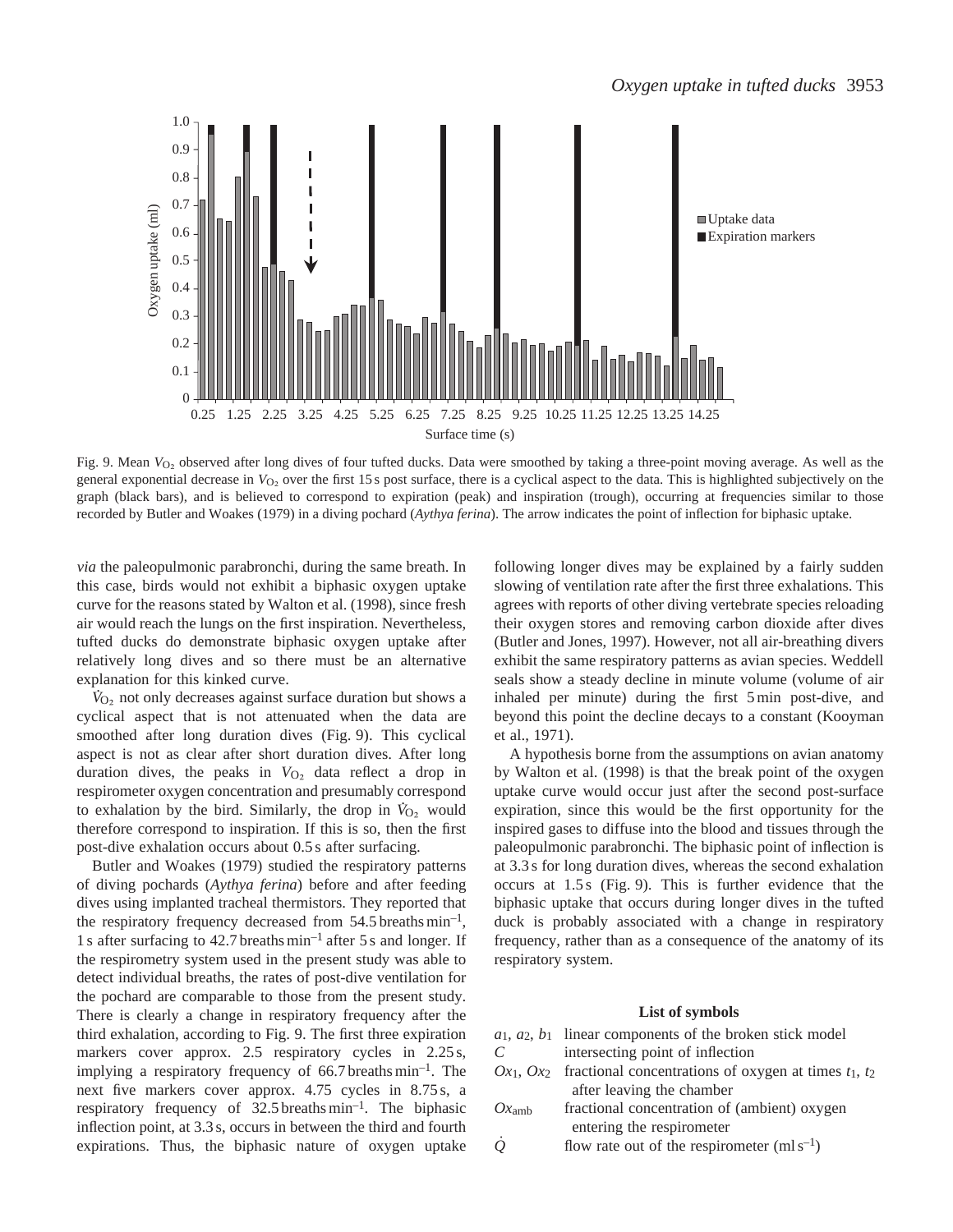

Fig. 9. Mean *V*<sub>O2</sub> observed after long dives of four tufted ducks. Data were smoothed by taking a three-point moving average. As well as the general exponential decrease in  $V_{\text{O}_2}$  over the first 15 s post surface, there is a cyclical aspect to the data. This is highlighted subjectively on the graph (black bars), and is believed to correspond to expiration (peak) and inspiration (trough), occurring at frequencies similar to those recorded by Butler and Woakes (1979) in a diving pochard (*Aythya ferina*). The arrow indicates the point of inflection for biphasic uptake.

*via* the paleopulmonic parabronchi, during the same breath. In this case, birds would not exhibit a biphasic oxygen uptake curve for the reasons stated by Walton et al. (1998), since fresh air would reach the lungs on the first inspiration. Nevertheless, tufted ducks do demonstrate biphasic oxygen uptake after relatively long dives and so there must be an alternative explanation for this kinked curve. .

 $\hat{V}_{O_2}$  not only decreases against surface duration but shows a cyclical aspect that is not attenuated when the data are smoothed after long duration dives (Fig. 9). This cyclical aspect is not as clear after short duration dives. After long duration dives, the peaks in  $V_{O<sub>2</sub>}$  data reflect a drop in respirometer oxygen concentration and presumably correspond . to exhalation by the bird. Similarly, the drop in  $\dot{V}_{O_2}$  would therefore correspond to inspiration. If this is so, then the first post-dive exhalation occurs about 0.5 s after surfacing.

Butler and Woakes (1979) studied the respiratory patterns of diving pochards (*Aythya ferina*) before and after feeding dives using implanted tracheal thermistors. They reported that the respiratory frequency decreased from  $54.5$  breaths min<sup>-1</sup>, 1 s after surfacing to 42.7 breaths min–1 after 5 s and longer. If the respirometry system used in the present study was able to detect individual breaths, the rates of post-dive ventilation for the pochard are comparable to those from the present study. There is clearly a change in respiratory frequency after the third exhalation, according to Fig. 9. The first three expiration markers cover approx. 2.5 respiratory cycles in 2.25 s, implying a respiratory frequency of  $66.7$  breaths min<sup>-1</sup>. The next five markers cover approx. 4.75 cycles in 8.75 s, a respiratory frequency of  $32.5$  breaths min<sup>-1</sup>. The biphasic inflection point, at 3.3 s, occurs in between the third and fourth expirations. Thus, the biphasic nature of oxygen uptake following longer dives may be explained by a fairly sudden slowing of ventilation rate after the first three exhalations. This agrees with reports of other diving vertebrate species reloading their oxygen stores and removing carbon dioxide after dives (Butler and Jones, 1997). However, not all air-breathing divers exhibit the same respiratory patterns as avian species. Weddell seals show a steady decline in minute volume (volume of air inhaled per minute) during the first 5 min post-dive, and beyond this point the decline decays to a constant (Kooyman et al., 1971).

A hypothesis borne from the assumptions on avian anatomy by Walton et al. (1998) is that the break point of the oxygen uptake curve would occur just after the second post-surface expiration, since this would be the first opportunity for the inspired gases to diffuse into the blood and tissues through the paleopulmonic parabronchi. The biphasic point of inflection is at 3.3 s for long duration dives, whereas the second exhalation occurs at 1.5 s (Fig. 9). This is further evidence that the biphasic uptake that occurs during longer dives in the tufted duck is probably associated with a change in respiratory frequency, rather than as a consequence of the anatomy of its respiratory system.

#### **List of symbols**

|                   | $a_1, a_2, b_1$ linear components of the broken stick model                |
|-------------------|----------------------------------------------------------------------------|
| C                 | intersecting point of inflection                                           |
|                   | $Ox_1$ , $Ox_2$ fractional concentrations of oxygen at times $t_1$ , $t_2$ |
|                   | after leaving the chamber                                                  |
| Ox <sub>amb</sub> | fractional concentration of (ambient) oxygen                               |
|                   | entering the respirometer                                                  |
|                   | flow rate out of the respirometer $(mls^{-1})$                             |